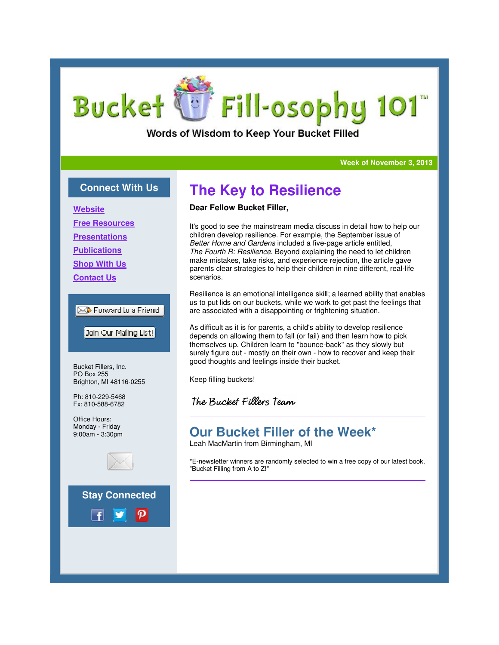# **Bucket** Fill-osophy 101

Words of Wisdom to Keep Your Bucket Filled

#### **Week of November 3, 2013 Week**

### **Connect With Us**

**Website**

**Free Resources**

**Presentations**

**Publications**

**Shop With Us**

**Contact Us**

#### $\boxtimes$  Forward to a Friend

Join Our Mailing List!

Bucket Fillers, Inc. PO Box 255 Brighton, MI 48116-0255

Ph: 810-229-5468 Fx: 810-588-6782

Office Hours: Monday - Friday 9:00am - 3:30pm



**Stay Connected**



# **The Key to Resilience**

### **Dear Fellow Bucket Filler,**

It's good to see the mainstream media discuss in detail how to help our children develop resilience. For example, the September issue of *Better Home and Gardens* included a five-page article entitled, *The Fourth R: Resilience.* Beyond explaining the need to let children make mistakes, take risks, and experience rejection, the article gave It's good to see the mainstream media discuss in detail how to help ou<br>children develop resilience. For example, the September issue of<br>*Better Home and Gardens* included a five-page article entitled,<br>*The Fourth R: Resili* scenarios.

Resilience is an emotional intelligence skill; a learned ability that enables us to put lids on our buckets, while we work to get past the feelings that are associated with a disappointing or frightening situation.

As difficult as it is for parents, a child's ability to develop resilience depends on allowing them to fall (or fail) and then learn how to pick themselves up. Children learn to "bounce-back" as they slowly but surely figure out - mostly on their own - how to recover and keep their good thoughts and feelings inside their bucket. work to get past the feelings that<br>inghtening situation.<br>ability to develop resilience<br>I) and then learn how to pick<br>ce-back" as they slowly but<br>how to recover and keep their

Keep filling buckets!

The Bucket Fillers Team

## **Our Bucket Filler of the Week\* of the**

Leah MacMartin from Birmingham, MI

\*E-newsletter winners are randomly selected to win a free copy of our latest book, newsletter winners "Bucket Filling from A to Z!"